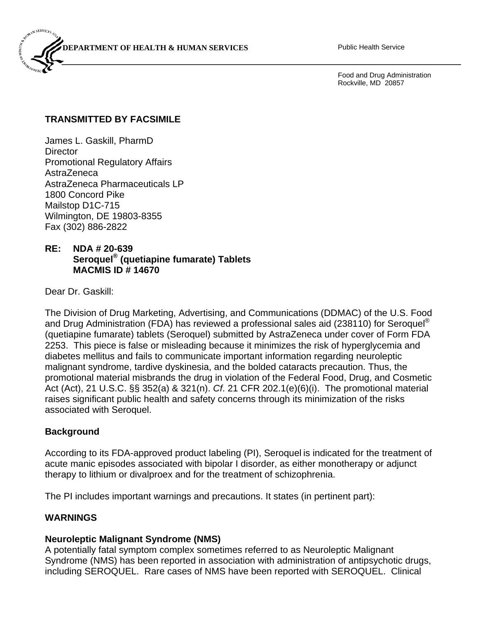**DEPARTMENT OF HEALTH & HUMAN SERVICES** Public Health Service



Food and Drug Administration Rockville, MD 20857

## **TRANSMITTED BY FACSIMILE**

AN SERVIC

James L. Gaskill, PharmD **Director** Promotional Regulatory Affairs AstraZeneca AstraZeneca Pharmaceuticals LP 1800 Concord Pike Mailstop D1C-715 Wilmington, DE 19803-8355 Fax (302) 886-2822

### **RE: NDA # 20-639 Seroquel® (quetiapine fumarate) Tablets MACMIS ID # 14670**

Dear Dr. Gaskill:

The Division of Drug Marketing, Advertising, and Communications (DDMAC) of the U.S. Food and Drug Administration (FDA) has reviewed a professional sales aid (238110) for Seroquel<sup>®</sup> (quetiapine fumarate) tablets (Seroquel) submitted by AstraZeneca under cover of Form FDA 2253. This piece is false or misleading because it minimizes the risk of hyperglycemia and diabetes mellitus and fails to communicate important information regarding neuroleptic malignant syndrome, tardive dyskinesia, and the bolded cataracts precaution. Thus, the promotional material misbrands the drug in violation of the Federal Food, Drug, and Cosmetic Act (Act), 21 U.S.C. §§ 352(a) & 321(n). *Cf*. 21 CFR 202.1(e)(6)(i). The promotional material raises significant public health and safety concerns through its minimization of the risks associated with Seroquel.

### **Background**

According to its FDA-approved product labeling (PI), Seroquel is indicated for the treatment of acute manic episodes associated with bipolar I disorder, as either monotherapy or adjunct therapy to lithium or divalproex and for the treatment of schizophrenia.

The PI includes important warnings and precautions. It states (in pertinent part):

## **WARNINGS**

### **Neuroleptic Malignant Syndrome (NMS)**

A potentially fatal symptom complex sometimes referred to as Neuroleptic Malignant Syndrome (NMS) has been reported in association with administration of antipsychotic drugs, including SEROQUEL. Rare cases of NMS have been reported with SEROQUEL. Clinical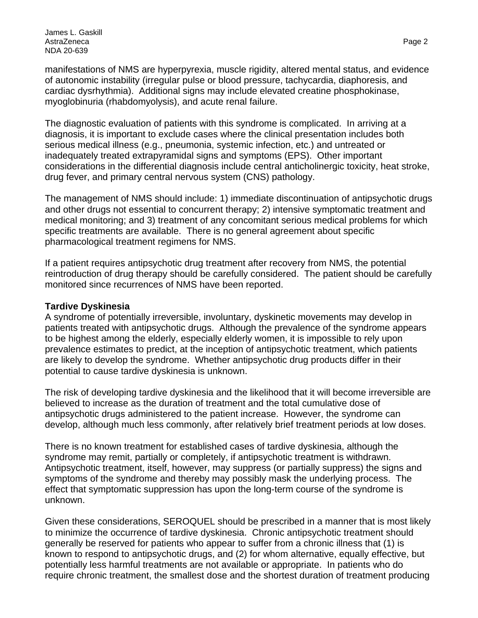manifestations of NMS are hyperpyrexia, muscle rigidity, altered mental status, and evidence of autonomic instability (irregular pulse or blood pressure, tachycardia, diaphoresis, and cardiac dysrhythmia). Additional signs may include elevated creatine phosphokinase, myoglobinuria (rhabdomyolysis), and acute renal failure.

The diagnostic evaluation of patients with this syndrome is complicated. In arriving at a diagnosis, it is important to exclude cases where the clinical presentation includes both serious medical illness (e.g., pneumonia, systemic infection, etc.) and untreated or inadequately treated extrapyramidal signs and symptoms (EPS). Other important considerations in the differential diagnosis include central anticholinergic toxicity, heat stroke, drug fever, and primary central nervous system (CNS) pathology.

The management of NMS should include: 1) immediate discontinuation of antipsychotic drugs and other drugs not essential to concurrent therapy; 2) intensive symptomatic treatment and medical monitoring; and 3) treatment of any concomitant serious medical problems for which specific treatments are available. There is no general agreement about specific pharmacological treatment regimens for NMS.

If a patient requires antipsychotic drug treatment after recovery from NMS, the potential reintroduction of drug therapy should be carefully considered. The patient should be carefully monitored since recurrences of NMS have been reported.

### **Tardive Dyskinesia**

A syndrome of potentially irreversible, involuntary, dyskinetic movements may develop in patients treated with antipsychotic drugs. Although the prevalence of the syndrome appears to be highest among the elderly, especially elderly women, it is impossible to rely upon prevalence estimates to predict, at the inception of antipsychotic treatment, which patients are likely to develop the syndrome. Whether antipsychotic drug products differ in their potential to cause tardive dyskinesia is unknown.

The risk of developing tardive dyskinesia and the likelihood that it will become irreversible are believed to increase as the duration of treatment and the total cumulative dose of antipsychotic drugs administered to the patient increase. However, the syndrome can develop, although much less commonly, after relatively brief treatment periods at low doses.

There is no known treatment for established cases of tardive dyskinesia, although the syndrome may remit, partially or completely, if antipsychotic treatment is withdrawn. Antipsychotic treatment, itself, however, may suppress (or partially suppress) the signs and symptoms of the syndrome and thereby may possibly mask the underlying process. The effect that symptomatic suppression has upon the long-term course of the syndrome is unknown.

Given these considerations, SEROQUEL should be prescribed in a manner that is most likely to minimize the occurrence of tardive dyskinesia. Chronic antipsychotic treatment should generally be reserved for patients who appear to suffer from a chronic illness that (1) is known to respond to antipsychotic drugs, and (2) for whom alternative, equally effective, but potentially less harmful treatments are not available or appropriate. In patients who do require chronic treatment, the smallest dose and the shortest duration of treatment producing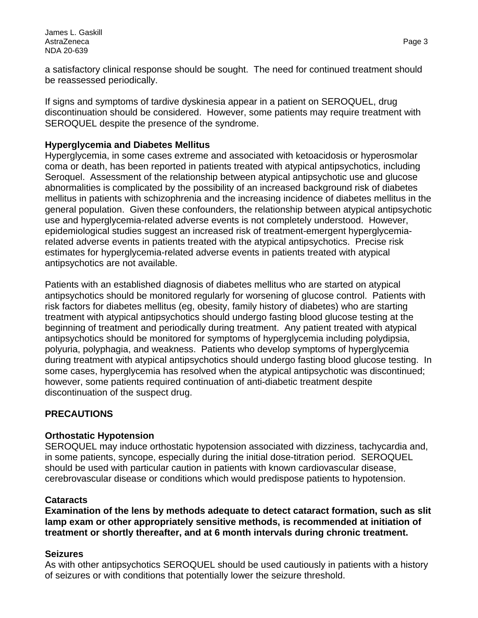a satisfactory clinical response should be sought. The need for continued treatment should be reassessed periodically.

If signs and symptoms of tardive dyskinesia appear in a patient on SEROQUEL, drug discontinuation should be considered. However, some patients may require treatment with SEROQUEL despite the presence of the syndrome.

### **Hyperglycemia and Diabetes Mellitus**

Hyperglycemia, in some cases extreme and associated with ketoacidosis or hyperosmolar coma or death, has been reported in patients treated with atypical antipsychotics, including Seroquel. Assessment of the relationship between atypical antipsychotic use and glucose abnormalities is complicated by the possibility of an increased background risk of diabetes mellitus in patients with schizophrenia and the increasing incidence of diabetes mellitus in the general population. Given these confounders, the relationship between atypical antipsychotic use and hyperglycemia-related adverse events is not completely understood. However, epidemiological studies suggest an increased risk of treatment-emergent hyperglycemiarelated adverse events in patients treated with the atypical antipsychotics. Precise risk estimates for hyperglycemia-related adverse events in patients treated with atypical antipsychotics are not available.

Patients with an established diagnosis of diabetes mellitus who are started on atypical antipsychotics should be monitored regularly for worsening of glucose control. Patients with risk factors for diabetes mellitus (eg, obesity, family history of diabetes) who are starting treatment with atypical antipsychotics should undergo fasting blood glucose testing at the beginning of treatment and periodically during treatment. Any patient treated with atypical antipsychotics should be monitored for symptoms of hyperglycemia including polydipsia, polyuria, polyphagia, and weakness. Patients who develop symptoms of hyperglycemia during treatment with atypical antipsychotics should undergo fasting blood glucose testing. In some cases, hyperglycemia has resolved when the atypical antipsychotic was discontinued; however, some patients required continuation of anti-diabetic treatment despite discontinuation of the suspect drug.

# **PRECAUTIONS**

## **Orthostatic Hypotension**

SEROQUEL may induce orthostatic hypotension associated with dizziness, tachycardia and, in some patients, syncope, especially during the initial dose-titration period. SEROQUEL should be used with particular caution in patients with known cardiovascular disease, cerebrovascular disease or conditions which would predispose patients to hypotension.

## **Cataracts**

**Examination of the lens by methods adequate to detect cataract formation, such as slit lamp exam or other appropriately sensitive methods, is recommended at initiation of treatment or shortly thereafter, and at 6 month intervals during chronic treatment.** 

### **Seizures**

As with other antipsychotics SEROQUEL should be used cautiously in patients with a history of seizures or with conditions that potentially lower the seizure threshold.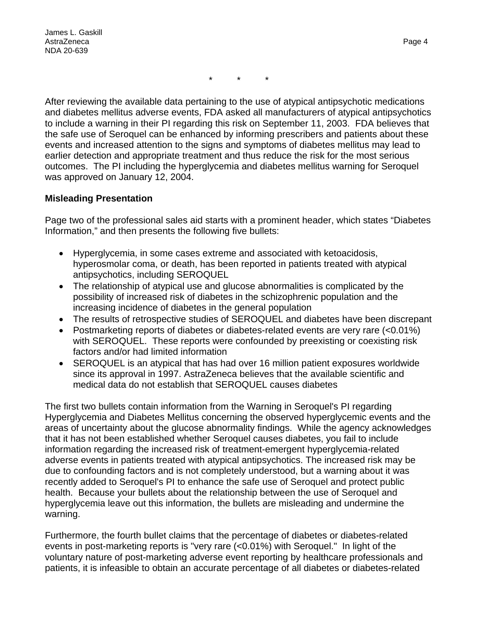$\star$ 

After reviewing the available data pertaining to the use of atypical antipsychotic medications and diabetes mellitus adverse events, FDA asked all manufacturers of atypical antipsychotics to include a warning in their PI regarding this risk on September 11, 2003. FDA believes that the safe use of Seroquel can be enhanced by informing prescribers and patients about these events and increased attention to the signs and symptoms of diabetes mellitus may lead to earlier detection and appropriate treatment and thus reduce the risk for the most serious outcomes. The PI including the hyperglycemia and diabetes mellitus warning for Seroquel was approved on January 12, 2004.

### **Misleading Presentation**

Page two of the professional sales aid starts with a prominent header, which states "Diabetes Information," and then presents the following five bullets:

- Hyperglycemia, in some cases extreme and associated with ketoacidosis, hyperosmolar coma, or death, has been reported in patients treated with atypical antipsychotics, including SEROQUEL
- The relationship of atypical use and glucose abnormalities is complicated by the possibility of increased risk of diabetes in the schizophrenic population and the increasing incidence of diabetes in the general population
- The results of retrospective studies of SEROQUEL and diabetes have been discrepant
- Postmarketing reports of diabetes or diabetes-related events are very rare (<0.01%) with SEROQUEL. These reports were confounded by preexisting or coexisting risk factors and/or had limited information
- SEROQUEL is an atypical that has had over 16 million patient exposures worldwide since its approval in 1997. AstraZeneca believes that the available scientific and medical data do not establish that SEROQUEL causes diabetes

The first two bullets contain information from the Warning in Seroquel's PI regarding Hyperglycemia and Diabetes Mellitus concerning the observed hyperglycemic events and the areas of uncertainty about the glucose abnormality findings. While the agency acknowledges that it has not been established whether Seroquel causes diabetes, you fail to include information regarding the increased risk of treatment-emergent hyperglycemia-related adverse events in patients treated with atypical antipsychotics. The increased risk may be due to confounding factors and is not completely understood, but a warning about it was recently added to Seroquel's PI to enhance the safe use of Seroquel and protect public health. Because your bullets about the relationship between the use of Seroquel and hyperglycemia leave out this information, the bullets are misleading and undermine the warning.

Furthermore, the fourth bullet claims that the percentage of diabetes or diabetes-related events in post-marketing reports is "very rare (<0.01%) with Seroquel." In light of the voluntary nature of post-marketing adverse event reporting by healthcare professionals and patients, it is infeasible to obtain an accurate percentage of all diabetes or diabetes-related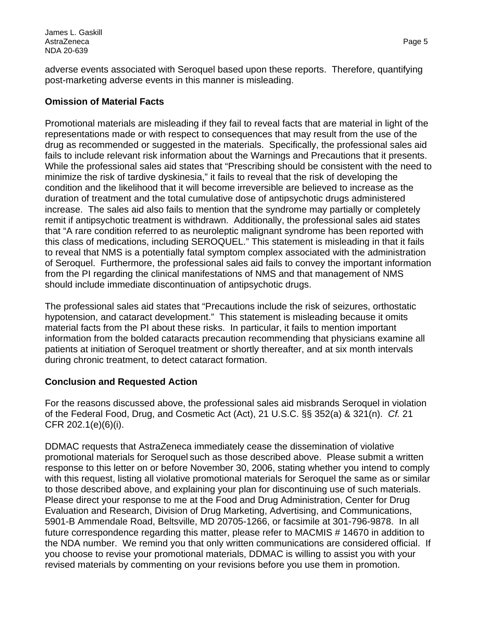adverse events associated with Seroquel based upon these reports. Therefore, quantifying post-marketing adverse events in this manner is misleading.

## **Omission of Material Facts**

Promotional materials are misleading if they fail to reveal facts that are material in light of the representations made or with respect to consequences that may result from the use of the drug as recommended or suggested in the materials. Specifically, the professional sales aid fails to include relevant risk information about the Warnings and Precautions that it presents. While the professional sales aid states that "Prescribing should be consistent with the need to minimize the risk of tardive dyskinesia," it fails to reveal that the risk of developing the condition and the likelihood that it will become irreversible are believed to increase as the duration of treatment and the total cumulative dose of antipsychotic drugs administered increase. The sales aid also fails to mention that the syndrome may partially or completely remit if antipsychotic treatment is withdrawn. Additionally, the professional sales aid states that "A rare condition referred to as neuroleptic malignant syndrome has been reported with this class of medications, including SEROQUEL." This statement is misleading in that it fails to reveal that NMS is a potentially fatal symptom complex associated with the administration of Seroquel. Furthermore, the professional sales aid fails to convey the important information from the PI regarding the clinical manifestations of NMS and that management of NMS should include immediate discontinuation of antipsychotic drugs.

The professional sales aid states that "Precautions include the risk of seizures, orthostatic hypotension, and cataract development." This statement is misleading because it omits material facts from the PI about these risks. In particular, it fails to mention important information from the bolded cataracts precaution recommending that physicians examine all patients at initiation of Seroquel treatment or shortly thereafter, and at six month intervals during chronic treatment, to detect cataract formation.

# **Conclusion and Requested Action**

For the reasons discussed above, the professional sales aid misbrands Seroquel in violation of the Federal Food, Drug, and Cosmetic Act (Act), 21 U.S.C. §§ 352(a) & 321(n). *Cf.* 21 CFR 202.1(e)(6)(i).

DDMAC requests that AstraZeneca immediately cease the dissemination of violative promotional materials for Seroquel such as those described above. Please submit a written response to this letter on or before November 30, 2006, stating whether you intend to comply with this request, listing all violative promotional materials for Seroquel the same as or similar to those described above, and explaining your plan for discontinuing use of such materials. Please direct your response to me at the Food and Drug Administration, Center for Drug Evaluation and Research, Division of Drug Marketing, Advertising, and Communications, 5901-B Ammendale Road, Beltsville, MD 20705-1266, or facsimile at 301-796-9878. In all future correspondence regarding this matter, please refer to MACMIS # 14670 in addition to the NDA number. We remind you that only written communications are considered official. If you choose to revise your promotional materials, DDMAC is willing to assist you with your revised materials by commenting on your revisions before you use them in promotion.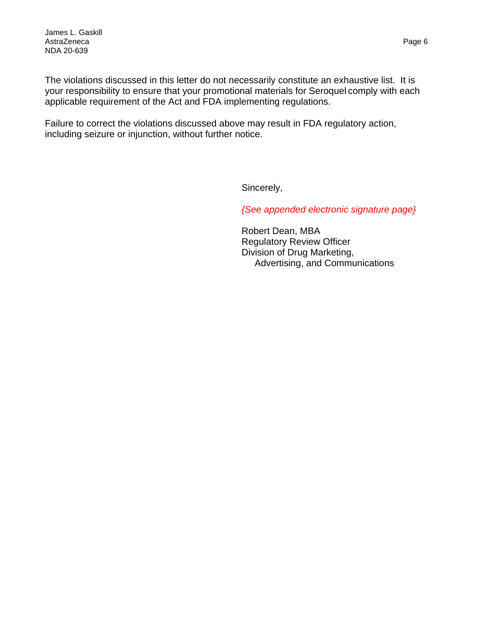The violations discussed in this letter do not necessarily constitute an exhaustive list. It is your responsibility to ensure that your promotional materials for Seroquel comply with each applicable requirement of the Act and FDA implementing regulations.

Failure to correct the violations discussed above may result in FDA regulatory action, including seizure or injunction, without further notice.

Sincerely,

*{See appended electronic signature page}* 

Robert Dean, MBA Regulatory Review Officer Division of Drug Marketing, Advertising, and Communications